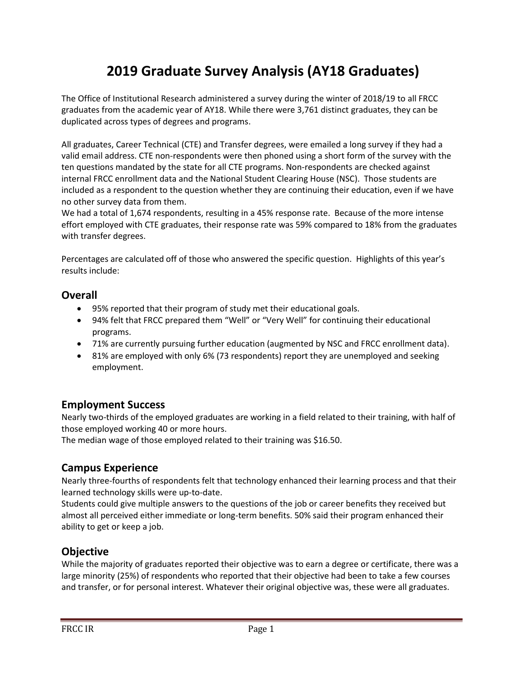# **2019 Graduate Survey Analysis (AY18 Graduates)**

The Office of Institutional Research administered a survey during the winter of 2018/19 to all FRCC graduates from the academic year of AY18. While there were 3,761 distinct graduates, they can be duplicated across types of degrees and programs.

All graduates, Career Technical (CTE) and Transfer degrees, were emailed a long survey if they had a valid email address. CTE non-respondents were then phoned using a short form of the survey with the ten questions mandated by the state for all CTE programs. Non-respondents are checked against internal FRCC enrollment data and the National Student Clearing House (NSC). Those students are included as a respondent to the question whether they are continuing their education, even if we have no other survey data from them.

We had a total of 1,674 respondents, resulting in a 45% response rate. Because of the more intense effort employed with CTE graduates, their response rate was 59% compared to 18% from the graduates with transfer degrees.

Percentages are calculated off of those who answered the specific question. Highlights of this year's results include:

#### **Overall**

- 95% reported that their program of study met their educational goals.
- 94% felt that FRCC prepared them "Well" or "Very Well" for continuing their educational programs.
- 71% are currently pursuing further education (augmented by NSC and FRCC enrollment data).
- 81% are employed with only 6% (73 respondents) report they are unemployed and seeking employment.

### **Employment Success**

Nearly two-thirds of the employed graduates are working in a field related to their training, with half of those employed working 40 or more hours.

The median wage of those employed related to their training was \$16.50.

### **Campus Experience**

Nearly three-fourths of respondents felt that technology enhanced their learning process and that their learned technology skills were up-to-date.

Students could give multiple answers to the questions of the job or career benefits they received but almost all perceived either immediate or long-term benefits. 50% said their program enhanced their ability to get or keep a job.

## **Objective**

While the majority of graduates reported their objective was to earn a degree or certificate, there was a large minority (25%) of respondents who reported that their objective had been to take a few courses and transfer, or for personal interest. Whatever their original objective was, these were all graduates.